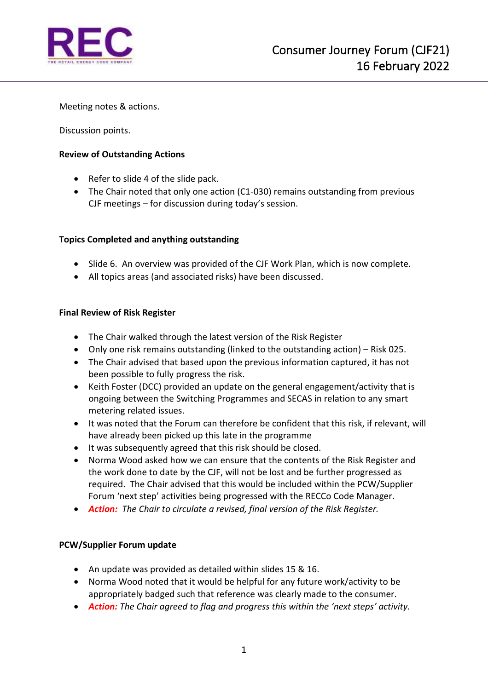

Meeting notes & actions.

Discussion points.

### **Review of Outstanding Actions**

- Refer to slide 4 of the slide pack.
- The Chair noted that only one action (C1-030) remains outstanding from previous CJF meetings – for discussion during today's session.

## **Topics Completed and anything outstanding**

- Slide 6. An overview was provided of the CJF Work Plan, which is now complete.
- All topics areas (and associated risks) have been discussed.

### **Final Review of Risk Register**

- The Chair walked through the latest version of the Risk Register
- Only one risk remains outstanding (linked to the outstanding action) Risk 025.
- The Chair advised that based upon the previous information captured, it has not been possible to fully progress the risk.
- Keith Foster (DCC) provided an update on the general engagement/activity that is ongoing between the Switching Programmes and SECAS in relation to any smart metering related issues.
- It was noted that the Forum can therefore be confident that this risk, if relevant, will have already been picked up this late in the programme
- It was subsequently agreed that this risk should be closed.
- Norma Wood asked how we can ensure that the contents of the Risk Register and the work done to date by the CJF, will not be lost and be further progressed as required. The Chair advised that this would be included within the PCW/Supplier Forum 'next step' activities being progressed with the RECCo Code Manager.
- *Action: The Chair to circulate a revised, final version of the Risk Register.*

#### **PCW/Supplier Forum update**

- An update was provided as detailed within slides 15 & 16.
- Norma Wood noted that it would be helpful for any future work/activity to be appropriately badged such that reference was clearly made to the consumer.
- *Action: The Chair agreed to flag and progress this within the 'next steps' activity.*